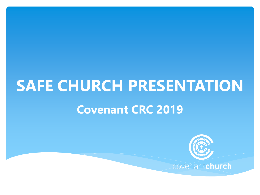# **SAFE CHURCH PRESENTATION Covenant CRC 2019**

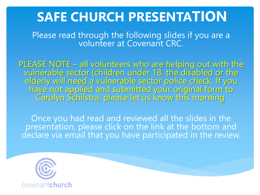## **SAFE CHURCH PRESENTATION**

Please read through the following slides if you are a volunteer at Covenant CRC.

PLEASE NOTE – all volunteers who are helping out with the vulnerable sector (children under 18, the disabled or the elderly will need a vulnerable sector police check. If you have not applied and submitted your original form to Carolyn Schilstra, please let us know this morning.

Once you had read and reviewed all the slides in the presentation, please click on the link at the bottom and declare via email that you have participated in the review.

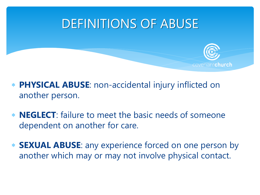## DEFINITIONS OF ABUSE



- **PHYSICAL ABUSE**: non-accidental injury inflicted on another person.
- **NEGLECT**: failure to meet the basic needs of someone dependent on another for care.
- **SEXUAL ABUSE**: any experience forced on one person by another which may or may not involve physical contact.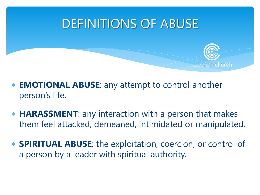## DEFINITIONS OF ABUSE



- **EMOTIONAL ABUSE**: any attempt to control another person's life.
- **HARASSMENT**: any interaction with a person that makes them feel attacked, demeaned, intimidated or manipulated.
- **SPIRITUAL ABUSE**: the exploitation, coercion, or control of a person by a leader with spiritual authority.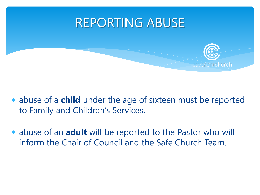## REPORTING ABUSE



- abuse of a **child** under the age of sixteen must be reported to Family and Children's Services.
- abuse of an **adult** will be reported to the Pastor who will inform the Chair of Council and the Safe Church Team.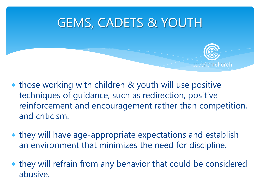## GEMS, CADETS & YOUTH



- those working with children & youth will use positive techniques of guidance, such as redirection, positive reinforcement and encouragement rather than competition, and criticism.
- they will have age-appropriate expectations and establish an environment that minimizes the need for discipline.
- they will refrain from any behavior that could be considered abusive.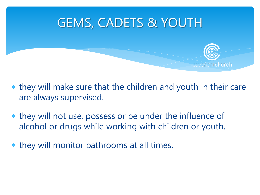## GEMS, CADETS & YOUTH



- they will make sure that the children and youth in their care are always supervised.
- they will not use, possess or be under the influence of alcohol or drugs while working with children or youth.
- they will monitor bathrooms at all times.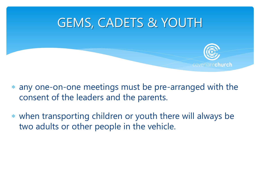

covenantchurch

- any one-on-one meetings must be pre-arranged with the consent of the leaders and the parents.
- when transporting children or youth there will always be two adults or other people in the vehicle.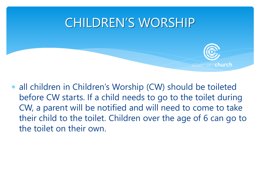## CHILDREN'S WORSHIP



 all children in Children's Worship (CW) should be toileted before CW starts. If a child needs to go to the toilet during CW, a parent will be notified and will need to come to take their child to the toilet. Children over the age of 6 can go to the toilet on their own.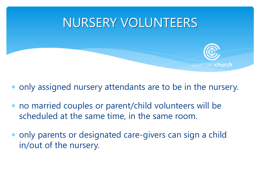## NURSERY VOLUNTEERS

- covenantchurch
- only assigned nursery attendants are to be in the nursery.
- no married couples or parent/child volunteers will be scheduled at the same time, in the same room.
- only parents or designated care-givers can sign a child in/out of the nursery.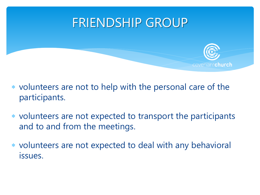## FRIENDSHIP GROUP

- covenantchurch
- volunteers are not to help with the personal care of the participants.
- volunteers are not expected to transport the participants and to and from the meetings.
- volunteers are not expected to deal with any behavioral issues.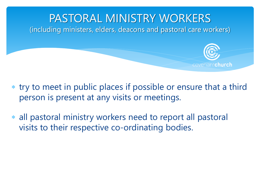

- try to meet in public places if possible or ensure that a third person is present at any visits or meetings.
- all pastoral ministry workers need to report all pastoral visits to their respective co-ordinating bodies.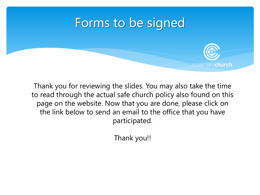#### Forms to be signed



Thank you for reviewing the slides. You may also take the time to read through the actual safe church policy also found on this page on the website. Now that you are done, please click on the link below to send an email to the office that you have participated.

Thank you!!